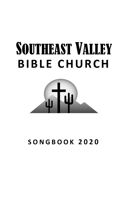# SOUTHEAST VALLEY **BIBLE CHURCH**



**S O N G B O O K 2 0 2 0**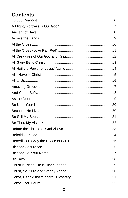# **Contents**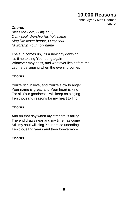# **10,000 Reasons**

Jonas Myrin / Matt Redman Key: A

#### <span id="page-5-0"></span>*Chorus*

*Bless the Lord, O my soul, O my soul, Worship His holy name Sing like never before, O my soul I'll worship Your holy name*

The sun comes up, it's a new day dawning It's time to sing Your song again Whatever may pass, and whatever lies before me Let me be singing when the evening comes

#### **Chorus**

You're rich in love, and You're slow to anger Your name is great, and Your heart is kind For all Your goodness I will keep on singing Ten thousand reasons for my heart to find

#### **Chorus**

And on that day when my strength is failing The end draws near and my time has come Still my soul will sing Your praise unending Ten thousand years and then forevermore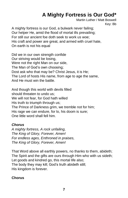# **A Mighty Fortress is Our God\***

Martin Luther / Matt Boswell Key: Bb

<span id="page-6-0"></span>A mighty fortress is our God, a bulwark never failing; Our helper He, amid the flood of mortal ills prevailing; For still our ancient foe doth seek to work us woe; His craft and power are great, and armed with cruel hate, On earth is not his equal

Did we in our own strength confide Our striving would be losing, Were not the right Man on our side, The Man of God's own choosing; Dost ask who that may be? Christ Jesus, it is He; The Lord of hosts His name, from age to age the same, And He must win the battle.

And though this world with devils filled should threaten to undo us; We will not fear, for God hath willed His truth to triumph through us; The Prince of Darkness grim, we tremble not for him; His rage we can endure, for lo, his doom is sure; One little word shall fell him.

#### *Chorus*

*A mighty fortress, A rock unfailing, The King of Glory, Forever, Amen! For endless ages, Enthroned in praises, The King of Glory, Forever, Amen!* 

That Word above all earthly powers, no thanks to them, abideth; The Spirit and the gifts are ours through Him who with us sideth; Let goods and kindred go, this mortal life also; The body they may kill; God's truth abideth still; His kingdom is forever.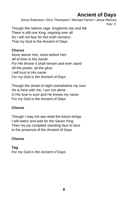### **Ancient of Days**

<span id="page-7-0"></span>Jonny Robinson / Rich Thompson / Michael Farren / Jesse Reeves Key: C

Though the nations rage, kingdoms rise and fall There is still one King, reigning over all So I will not fear for this truth remains: That my God is the Ancient of Days

#### **Chorus**

*None above Him, none before Him All of time in His hands For His throne it shall remain and ever stand All the power, all the glory I will trust in His name For my God is the Ancient of Days*

Though the dread of night overwhelms my soul He is here with me, I am not alone O His love is sure and He knows my name For my God is the Ancient of Days

#### **Chorus**

Though I may not see what the future brings I will watch and wait for the Savior King Then my joy complete standing face to face In the presence of the Ancient of Days

#### **Chorus**

**Tag** *For my God is the Ancient of Days*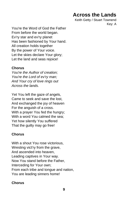### **Across the Lands**

Keith Getty / Stuart Townend Key: A

<span id="page-8-0"></span>You're the Word of God the Father From before the world began. Ev'ry star and ev'ry planet Has been fashioned by Your hand. All creation holds together By the power of Your voice. Let the skies declare Your glory; Let the land and seas rejoice!

#### **Chorus**

*You're the Author of creation; You're the Lord of ev'ry man; And Your cry of love rings out Across the lands.*

Yet You left the gaze of angels, Came to seek and save the lost, And exchanged the joy of heaven For the anguish of a cross. With a prayer You fed the hungry; With a word You calmed the sea: Yet how silently You suffered That the guilty may go free!

#### **Chorus**

With a shout You rose victorious, Wresting vict'ry from the grave, And ascended into heaven, Leading captives in Your way. Now You stand before the Father, Interceding for Your own; From each tribe and tongue and nation, You are leading sinners home!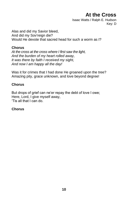# **At the Cross**

Isaac Watts / Ralph E. Hudson Key: D

<span id="page-9-0"></span>Alas and did my Savior bleed, And did my Sov'reign die? Would He devote that sacred head for such a worm as I?

#### **Chorus**

*At the cross at the cross where I first saw the light, And the burden of my heart rolled away, It was there by faith I received my sight, And now I am happy all the day!*

Was it for crimes that I had done He groaned upon the tree? Amazing pity, grace unknown, and love beyond degree!

#### **Chorus**

But drops of grief can ne'er repay the debt of love I owe; Here, Lord, I give myself away, 'Tis all that I can do.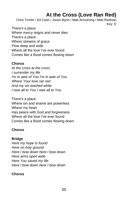# **At the Cross (Love Ran Red)**

<span id="page-10-0"></span>Chris Tomlin / Ed Cash / Jonas Myrin / Matt Armstrong / Matt Redman Key: D

There's a place Where mercy reigns and never dies There's a place Where streams of grace Flow deep and wide Where all the love I've ever found Comes like a flood comes flowing down

#### **Chorus**

*At the cross at the cross I surrender my life I'm in awe of You I'm in awe of You Where Your love ran red And my sin washed white I owe all to You I owe all to You*

There's a place Where sin and shame are powerless Where my heart Has peace with God and forgiveness Where all the love I've ever found Comes like a flood comes flowing down

#### **Chorus**

#### **Bridge**

*Here my hope is found Here on holy ground Here I bow down here I bow down Here arms open wide Here You saved my life Here I bow down here I bow down*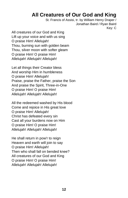### **All Creatures of Our God and King**

St. Francis of Assisi, tr. by William Henry Draper / Jonathan Baird / Ryan Baird Key: C

<span id="page-11-0"></span>All creatures of our God and King Lift up your voice and with us sing O praise Him! Allelujah! Thou, burning sun with golden beam Thou, silver moon with softer gleam O praise Him! O praise Him! Allelujah! Allelujah! Allelujah!

Let all things their Creator bless And worship Him in humbleness O praise Him! Allelujah! Praise, praise the Father, praise the Son And praise the Spirit, Three-in-One O praise Him! O praise Him! Allelujah! Allelujah! Allelujah!

All the redeemed washed by His blood Come and rejoice in His great love O praise Him! Allelujah! Christ has defeated every sin Cast all your burdens now on Him O praise Him! O praise Him! Allelujah! Allelujah! Allelujah!

He shall return in pow'r to reign Heaven and earth will join to say O praise Him! Allelujah! Then who shall fall on bended knee? All creatures of our God and King O praise Him! O praise Him! Allelujah! Allelujah! Allelujah!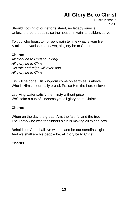# **All Glory Be to Christ**

Dustin Kensrue Key: D

<span id="page-12-0"></span>Should nothing of our efforts stand, no legacy survive Unless the Lord does raise the house, in vain its builders strive

To you who boast tomorrow's gain tell me what is your life A mist that vanishes at dawn, all glory be to Christ!

#### **Chorus**

*All glory be to Christ our king! All glory be to Christ! His rule and reign will ever sing, All glory be to Christ!*

His will be done, His kingdom come on earth as is above Who is Himself our daily bread, Praise Him the Lord of love

Let living water satisfy the thirsty without price We'll take a cup of kindness yet, all glory be to Christ!

#### **Chorus**

When on the day the great I Am, the faithful and the true The Lamb who was for sinners slain is making all things new.

Behold our God shall live with us and be our steadfast light And we shall ere his people be, all glory be to Christ!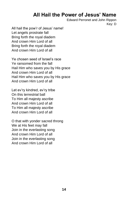### **All Hail the Power of Jesus' Name**

Edward Perronet and John Rippon Key: D

<span id="page-13-0"></span>All hail the pow'r of Jesus' name! Let angels prostrate fall Bring forth the royal diadem And crown Him Lord of all Bring forth the royal diadem And crown Him Lord of all

Ye chosen seed of Israel's race Ye ransomed from the fall Hail Him who saves you by His grace And crown Him Lord of all Hail Him who saves you by His grace And crown Him Lord of all

Let ev'ry kindred, ev'ry tribe On this terrestrial ball To Him all majesty ascribe And crown Him Lord of all To Him all majesty ascribe And crown Him Lord of all

O that with yonder sacred throng We at His feet may fall Join in the everlasting song And crown Him Lord of all Join in the everlasting song And crown Him Lord of all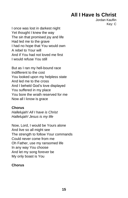# **All I Have Is Christ**

Jordan Kauflin Key: C

<span id="page-14-0"></span>I once was lost in darkest night Yet thought I knew the way The sin that promised joy and life Had led me to the grave I had no hope that You would own A rebel to Your will And if You had not loved me first I would refuse You still

But as I ran my hell-bound race Indifferent to the cost You looked upon my helpless state And led me to the cross And I beheld God's love displayed You suffered in my place You bore the wrath reserved for me Now all I know is grace

#### **Chorus**

*Hallelujah! All I have is Christ Hallelujah! Jesus is my life*

Now, Lord, I would be Yours alone And live so all might see The strength to follow Your commands Could never come from me Oh Father, use my ransomed life In any way You choose And let my song forever be My only boast is You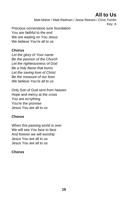# **All to Us**

Matt Maher / Matt Redman / Jesse Reeves / Chris Tomlin Key: A

<span id="page-15-0"></span>Precious cornerstone sure foundation You are faithful to the end We are waiting on You Jesus We believe You're all to us

#### **Chorus**

*Let the glory of Your name Be the passion of the Church Let the righteousness of God Be a holy flame that burns Let the saving love of Christ Be the measure of our lives We believe You're all to us*

Only Son of God sent from heaven Hope and mercy at the cross You are ev'rything You're the promise Jesus You are all to us

#### **Chorus**

When this passing world is over We will see You face to face And forever we will worship Jesus You are all to us Jesus You are all to us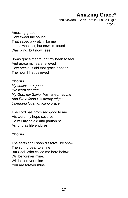### **Amazing Grace\***

John Newton / Chris Tomlin / Louie Giglio Key: G

<span id="page-16-0"></span>Amazing grace How sweet the sound That saved a wretch like me I once was lost, but now I'm found Was blind, but now I see

'Twas grace that taught my heart to fear And grace my fears relieved How precious did that grace appear The hour I first believed

#### **Chorus**

*My chains are gone I've been set free My God, my Savior has ransomed me And like a flood His mercy reigns Unending love, amazing grace*

The Lord has promised good to me His word my hope secures He will my shield and portion be As long as life endures

#### **Chorus**

The earth shall soon dissolve like snow The sun forbear to shine But God, Who called me here below, Will be forever mine. Will be forever mine. You are forever mine.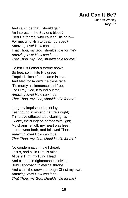# **And Can It Be?**

Charles Wesley Key: Bb

<span id="page-17-0"></span>And can it be that I should gain An interest in the Savior's blood? Died He for me, who caused His pain— For me, who Him to death pursued? Amazing love! How can it be, That Thou, my God, shouldst die for me? *Amazing love! How can it be, That Thou, my God, shouldst die for me?*

He left His Father's throne above So free, so infinite His grace— Emptied Himself and came in love, And bled for Adam's helpless race: 'Tis mercy all, immense and free, For O my God, it found out me! *Amazing love! How can it be, That Thou, my God, shouldst die for me?*

Long my imprisoned spirit lay, Fast bound in sin and nature's night; Thine eye diffused a quickening ray— I woke, the dungeon flamed with light; My chains fell off, my heart was free, I rose, went forth, and followed Thee. *Amazing love! How can it be, That Thou, my God, shouldst die for me?*

No condemnation now I dread; Jesus, and all in Him, is mine; Alive in Him, my living Head, And clothed in righteousness divine, Bold I approach th'eternal throne, And claim the crown, through Christ my own. *Amazing love! How can it be, That Thou, my God, shouldst die for me?*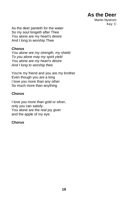### **As the Deer**

Martin Nystrom Key: C

<span id="page-18-0"></span>As the deer panteth for the water So my soul longeth after Thee You alone are my heart's desire And I long to worship Thee

#### **Chorus**

*You alone are my strength, my shield To you alone may my spirit yield You alone are my heart's desire And I long to worship thee*

You're my friend and you are my brother Even though you are a king I love you more than any other So much more than anything

#### **Chorus**

I love you more than gold or silver, only you can satisfy. You alone are the real joy giver and the apple of my eye.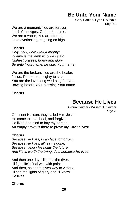# **Be Unto Your Name**

Gary Sadler / Lynn DeShazo Key: Bb

<span id="page-19-0"></span>We are a moment, You are forever, Lord of the Ages, God before time. We are a vapor, You are eternal, Love everlasting, reigning on high.

#### **Chorus**

*Holy, holy, Lord God Almighty! Worthy is the lamb who was slain! Highest praises, honor and glory Be unto Your name, be unto Your name.*

We are the broken, You are the healer, Jesus, Redeemer, mighty to save. You are the love song we'll sing forever, Bowing before You, blessing Your name.

#### <span id="page-19-1"></span>**Chorus**

### **Because He Lives**

Gloria Gaither / William J. Gaither Key: G

God sent His son, they called Him Jesus; He came to love, heal, and forgive; He lived and died to buy my pardon, An empty grave is there to prove my Savior lives!

#### **Chorus**

*Because He lives, I can face tomorrow, Because He lives, all fear is gone, Because I know He holds the future, And life is worth the living, Just because He lives!*

And then one day, I'll cross the river, I'll fight life's final war with pain; And then, as death gives way to victory, I'll see the lights of glory and I'll know He lives!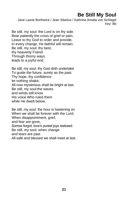# **Be Still My Soul**

<span id="page-20-0"></span>Jane Laurie Borthwick / Jean Sibelius / Kathrina Amalia von Schlegel Key: Bb

Be still, my soul: the Lord is on thy side. Bear patiently the cross of grief or pain. Leave to thy God to order and provide, In every change, He faithful will remain. Be still, my soul: thy best, thy heavenly Friend Through thorny ways leads to a joyful end.

Be still, my soul: thy God doth undertake To guide the future, surely as the past. Thy hope, thy confidence let nothing shake; All now mysterious shall be bright at last. Be still, my soul:the waves and winds still know His voice Who ruled them while He dwelt below.

Be still, my soul: the hour is hastening on When we shall be forever with the Lord; When disappointment, grief, and fear are gone, Sorrow forgot, love's purest joys restored. Be still, my soul: when change and tears are past All safe and blessed we shall meet at last.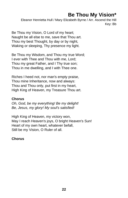### **Be Thou My Vision\***

<span id="page-21-0"></span>Eleanor Henrietta Hull / Mary Elizabeth Byrne / Arr. Ascend the Hill Key: Bb

Be Thou my Vision, O Lord of my heart; Naught be all else to me, save that Thou art. Thou my best Thought, by day or by night, Waking or sleeping, Thy presence my light.

Be Thou my Wisdom, and Thou my true Word; I ever with Thee and Thou with me, Lord; Thou my great Father, and I Thy true son; Thou in me dwelling, and I with Thee one.

Riches I heed not, nor man's empty praise, Thou mine Inheritance, now and always: Thou and Thou only, put first in my heart, High King of Heaven, my Treasure Thou art.

#### **Chorus**

*Oh, God, be my everything! Be my delight! Be, Jesus, my glory! My soul's satisfied!*

High King of Heaven, my victory won, May I reach Heaven's joys, O bright Heaven's Sun! Heart of my own heart, whatever befall, Still be my Vision, O Ruler of all.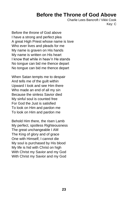### **Before the Throne of God Above**

Charlie Lees Bancroft / Vikki Cook Key: C

<span id="page-22-0"></span>Before the throne of God above I have a strong and perfect plea A great High Priest whose name is love Who ever lives and pleads for me My name is graven on His hands My name is written on His heart I know that while in heav'n He stands No tongue can bid me thence depart No tongue can bid me thence depart

When Satan tempts me to despair And tells me of the guilt within Upward I look and see Him there Who made an end of all my sin Because the sinless Savior died My sinful soul is counted free For God the Just is satisfied To look on Him and pardon me To look on Him and pardon me

Behold Him there, the risen Lamb My perfect, spotless Righteousness The great unchangeable I AM The King of glory and of grace One with Himself, I cannot die My soul is purchased by His blood My life is hid with Christ on high With Christ my Savior and my God With Christ my Savior and my God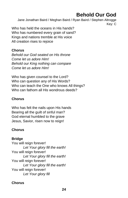# **Behold Our God**

<span id="page-23-0"></span>Jane Jonathan Baird / Meghan Baird / Ryan Baird / Stephen Altrogge Key: C

Who has held the oceans in His hands? Who has numbered every grain of sand? Kings and nations tremble at His voice All creation rises to rejoice

#### **Chorus**

*Behold our God seated on His throne Come let us adore Him! Behold our King nothing can compare Come let us adore Him!*

Who has given counsel to the Lord? Who can question any of His Words? Who can teach the One who knows All things? Who can fathom all His wondrous deeds?

#### **Chorus**

Who has felt the nails upon His hands Bearing all the guilt of sinful man? God eternal humbled to the grave Jesus, Savior, risen now to reign!

#### **Chorus**

#### **Bridge**

You will reign forever! *Let Your glory fill the earth!* You will reign forever! *Let Your glory fill the earth!* You will reign forever! *Let Your glory fill the earth!* You will reign forever! *Let Your glory fill*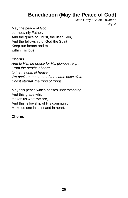# **Benediction (May the Peace of God)**

Keith Getty / Stuart Townend Key: A

<span id="page-24-0"></span>May the peace of God, our heav'nly Father, And the grace of Christ, the risen Son, And the fellowship of God the Spirit Keep our hearts and minds within His love.

#### **Chorus**

*And to Him be praise for His glorious reign; From the depths of earth to the heights of heaven We declare the name of the Lamb once slain— Christ eternal, the King of Kings.* 

May this peace which passes understanding, And this grace which makes us what we are, And this fellowship of His communion, Make us one in spirit and in heart.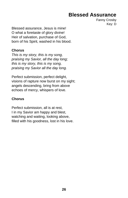### **Blessed Assurance**

Fanny Crosby Key: D

<span id="page-25-0"></span>Blessed assurance, Jesus is mine! O what a foretaste of glory divine! Heir of salvation, purchase of God, born of his Spirit, washed in his blood.

#### **Chorus**

*This is my story, this is my song, praising my Savior, all the day long; this is my story, this is my song, praising my Savior all the day long.*

Perfect submission, perfect delight, visions of rapture now burst on my sight; angels descending, bring from above echoes of mercy, whispers of love.

#### **Chorus**

Perfect submission, all is at rest, I in my Savior am happy and blest, watching and waiting, looking above, filled with his goodness, lost in his love.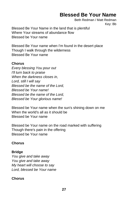### **Blessed Be Your Name**

Beth Redman / Matt Redman Key: Bb

<span id="page-26-0"></span>Blessed Be Your Name in the land that is plentiful Where Your streams of abundance flow Blessed be Your name

Blessed Be Your name when I'm found in the desert place Though I walk through the wilderness Blessed Be Your name

#### **Chorus**

*Every blessing You pour out I'll turn back to praise When the darkness closes in, Lord, still I will say Blessed be the name of the Lord, Blessed be Your name! Blessed be the name of the Lord, Blessed be Your glorious name!*

Blessed be Your name when the sun's shining down on me When the world's all as it should be Blessed be Your name

Blessed be Your name on the road marked with suffering Though there's pain in the offering Blessed be Your name

#### **Chorus**

#### **Bridge**

*You give and take away You give and take away My heart will choose to say Lord, blessed be Your name*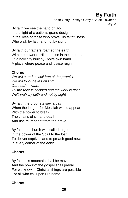# **By Faith**

Keith Getty / Kristyn Getty / Stuart Townend

Key: A

<span id="page-27-0"></span>By faith we see the hand of God In the light of creation's grand design In the lives of those who prove His faithfulness Who walk by faith and not by sight

By faith our fathers roamed the earth With the power of His promise in their hearts Of a holy city built by God's own hand A place where peace and justice reign

#### **Chorus**

*We will stand as children of the promise We will fix our eyes on Him Our soul's reward Till the race is finished and the work is done We'll walk by faith and not by sight* 

By faith the prophets saw a day When the longed-for Messiah would appear With the power to break The chains of sin and death And rise triumphant from the grave

By faith the church was called to go In the power of the Spirit to the lost To deliver captives and to preach good news In every corner of the earth

#### **Chorus**

By faith this mountain shall be moved And the pow'r of the gospel shall prevail For we know in Christ all things are possible For all who call upon His name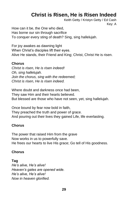# **Christ is Risen, He is Risen Indeed**

Keith Getty / Kristyn Getty / Ed Cash Key: A

<span id="page-28-0"></span>How can it be, the One who died, Has borne our sin through sacrifice To conquer every sting of death? Sing, sing hallelujah.

For joy awakes as dawning light When Christ's disciples lift their eyes. Alive He stands, their Friend and King; Christ, Christ He is risen.

#### **Chorus**

*Christ is risen, He is risen indeed! Oh, sing hallelujah. Join the chorus, sing with the redeemed; Christ is risen, He is risen indeed.*

Where doubt and darkness once had been, They saw Him and their hearts believed. But blessed are those who have not seen, yet, sing hallelujah.

Once bound by fear now bold in faith, They preached the truth and power of grace. And pouring out their lives they gained Life, life everlasting.

#### **Chorus**

The power that raised Him from the grave Now works in us to powerfully save. He frees our hearts to live His grace; Go tell of His goodness.

#### **Chorus**

#### **Tag**

*He's alive, He's alive! Heaven's gates are opened wide. He's alive, He's alive! Now in heaven glorified.*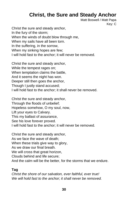# **Christ, the Sure and Steady Anchor**

Matt Boswell / Matt Papa Key: C

<span id="page-29-0"></span>Christ the sure and steady anchor, In the fury of the storm; When the winds of doubt blow through me, When my sails have all been torn. In the suffering, in the sorrow, When my sinking hopes are few; I will hold fast to the anchor; it will never be removed.

Christ the sure and steady anchor, While the tempest rages on; When temptation claims the battle, And it seems the night has won. Deeper still then goes the anchor, Though I justly stand accused; I will hold fast to the anchor; it shall never be removed.

Christ the sure and steady anchor, Through the floods of unbelief; Hopeless somehow, O my soul, now, Lift your eyes to Calvary. This my ballast of assurance, See his love forever proved. I will hold fast to the anchor; it will never be removed.

Christ the sure and steady anchor, As we face the wave of death; When these trials give way to glory, As we draw our final breath. We will cross that great horizon, Clouds behind and life secure; And the calm will be the better, for the storms that we endure.

#### **Tag**

*Christ the shore of our salvation, ever faithful, ever true! We will hold fast to the anchor; it shall never be removed.*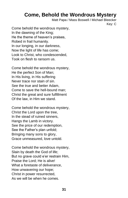### <span id="page-30-0"></span>**Come, Behold the Wondrous Mystery**

Matt Papa / Mass Boswell / Michael Bleecker Key: C

Come behold the wondrous mystery, In the dawning of the King; He the theme of heaven's praises, Robed in frail humanity. In our longing, in our darkness, Now the light of life has come; Look to Christ, who condescended, Took on flesh to ransom us.

Come behold the wondrous mystery, He the perfect Son of Man; In His living, in His suffering Never trace nor stain of sin. See the true and better Adam, Come to save the hell-bound man; Christ the great and sure fulfillment Of the law, in Him we stand.

Come behold the wondrous mystery, Christ the Lord upon the tree, In the stead of ruined sinners, Hangs the Lamb in victory. See the price of our redemption, See the Father's plan unfold; Bringing many sons to glory, Grace unmeasured, love untold.

Come behold the wondrous mystery, Slain by death the God of life; But no grave could e'er restrain Him, Praise the Lord; He is alive! What a foretaste of deliverance, How unwavering our hope; Christ in power resurrected, As we will be when he comes.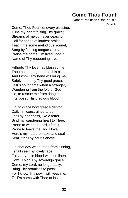### **Come Thou Fount**

Robert Robinson / Bob Kauflin Key: C

<span id="page-31-0"></span>Come, Thou Fount of every blessing, Tune my heart to sing Thy grace; Streams of mercy never ceasing, Call for songs of loudest praise. Teach me some melodious sonnet, Sung by flaming tongues above. Praise the name! I'm fixed upon it, Name of Thy redeeming love.

Hitherto Thy love has blessed me, Thou hast brought me to this place; And I know Thy hand will bring me, Safely home by Thy good grace. Jesus sought me when a stranger, Wandering from the fold of God; He, to rescue me from danger, Interposed His precious blood.

Oh, to grace how great a debtor Daily I'm constrained to be! Let Thy goodness, like a fetter, Bind my wandering heart to Thee: Prone to wander, Lord, I feel it, Prone to leave the God I love; Here's my heart, oh take and seal it; Seal it for Thy courts above.

Oh, that day when freed from sinning, I shall see Thy lovely face; Full arrayed in blood-washed linen How I'll sing Thy sovereign grace. Come, my Lord, no longer tarry, Bring Thy promises to pass; For I know Thy pow'r will keep me, Till I'm home with Thee at last.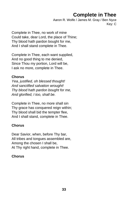### **Complete in Thee**

Aaron R. Wolfe / James M. Gray / Ben Nyce Key: C

<span id="page-32-0"></span>Complete in Thee, no work of mine Could take, dear Lord, the place of Thine; Thy blood hath pardon bought for me, And I shall stand complete in Thee.

Complete in Thee, each want supplied, And no good thing to me denied, Since Thou my portion, Lord will be, I ask no more, complete in Thee.

#### **Chorus**

*Yea, justified, oh blessed thought! And sanctified salvation wrought! Thy blood hath pardon bought for me, And glorified, I too, shall be.*

Complete in Thee, no more shall sin Thy grace has conquered reign within; Thy blood shall bid the tempter flee, And I shall stand, complete in Thee.

#### **Chorus**

Dear Savior, when, before Thy bar, All tribes and tongues assembled are, Among the chosen I shall be, At Thy right hand, complete in Thee.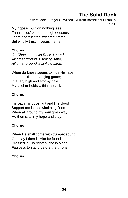# **The Solid Rock**

Edward Mote / Roger C. Wilson / William Batchelder Bradbury Key: D

<span id="page-33-0"></span>My hope is built on nothing less Than Jesus' blood and righteousness; I dare not trust the sweetest frame, But wholly trust in Jesus' name.

#### **Chorus**

*On Christ, the solid Rock, I stand; All other ground is sinking sand, All other ground is sinking sand.*

When darkness seems to hide His face, I rest on His unchanging grace; In every high and stormy gale, My anchor holds within the veil.

#### **Chorus**

His oath His covenant and His blood Support me in the 'whelming flood: When all around my soul gives way, He then is all my hope and stay.

#### **Chorus**

When He shall come with trumpet sound, Oh, may I then in Him be found; Dressed in His righteousness alone, Faultless to stand before the throne.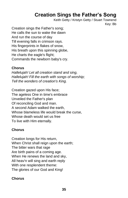# <span id="page-34-0"></span>**Creation Sings the Father's Song**

Keith Getty / Kristyn Getty / Stuart Townend Key: Bb

Creation sings the Father's song; He calls the sun to wake the dawn And run the course of day Till evening falls in crimson rays. His fingerprints in flakes of snow, His breath upon this spinning globe, He charts the eagle's flight; Commands the newborn baby's cry.

#### **Chorus**

*Hallelujah! Let all creation stand and sing, Hallelujah! Fill the earth with songs of worship; Tell the wonders of creation's King.* 

Creation gazed upon His face; The ageless One in time's embrace Unveiled the Father's plan Of reconciling God and man. A second Adam walked the earth, Whose blameless life would break the curse, Whose death would set us free To live with Him eternally.

#### **Chorus**

Creation longs for His return, When Christ shall reign upon the earth; The bitter wars that rage Are birth pains of a coming age. When He renews the land and sky, All heav'n will sing and earth reply With one resplendent theme: The glories of our God and King!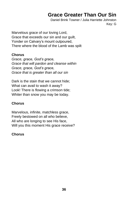### **Grace Greater Than Our Sin**

Daniel Brink Towner / Julia Harriette Johnston Key: G

<span id="page-35-0"></span>Marvelous grace of our loving Lord, Grace that exceeds our sin and our guilt, Yonder on Calvary's mount outpoured, There where the blood of the Lamb was spilt

#### **Chorus**

*Grace, grace, God's grace, Grace that will pardon and cleanse within Grace, grace, God's grace, Grace that is greater than all our sin* 

Dark is the stain that we cannot hide; What can avail to wash it away? Look! There is flowing a crimson tide; Whiter than snow you may be today.

#### **Chorus**

Marvelous, infinite, matchless grace, Freely bestowed on all who believe, All who are longing to see His face, Will you this moment His grace receive?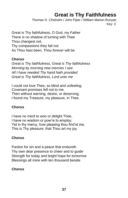## **Great is Thy Faithfulness**

Thomas O. Chisholm / John Piper / William Marion Runyan Key: C

Great is Thy faithfulness, O God, my Father There is no shadow of turning with Thee Thou changest not, Thy compassions they fail not As Thou hast been, Thou forever wilt be

#### **Chorus**

*Great is Thy faithfulness, Great is Thy faithfulness Morning by morning new mercies I see All I have needed Thy hand hath provided Great is Thy faithfulness, Lord unto me*

I could not love Thee, so blind and unfeeling; Covenant promises fell not to me. Then without warning, desire, or deserving, I found my Treasure, my pleasure, in Thee.

#### **Chorus**

I have no merit to woo or delight Thee, I have no wisdom or pow'rs to employ; Yet in thy mercy, how pleasing thou find'st me, This is Thy pleasure: that Thou art my joy.

### **Chorus**

Pardon for sin and a peace that endureth Thy own dear presence to cheer and to guide Strength for today and bright hope for tomorrow Blessings all mine with ten thousand beside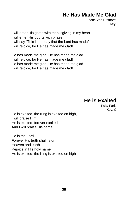## **He Has Made Me Glad**

Leona Von Brethorst Key:

I will enter His gates with thanksgiving in my heart I will enter His courts with priase I will say "This is the day that the Lord has made" I will rejoice, for He has made me glad!

He has made me glad, He has made me glad I will rejoice, for He has made me glad! He has made me glad, He has made me glad I will rejoice, for He has made me glad!

## **He is Exalted**

Twila Paris Key: C

He is exalted, the King is exalted on high, I will praise Him! He is exalted, forever exalted, And I will praise His name!

He is the Lord, Forever His truth shall reign. Heaven and earth Rejoice in His holy name He is exalted, the King is exalted on high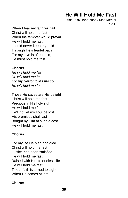# **He Will Hold Me Fast**

Ada Ruth Habershon / Matt Merker Key: C

When I fear my faith will fail Christ will hold me fast When the tempter would prevail He will hold me fast I could never keep my hold Through life's fearful path For my love is often cold, He must hold me fast

#### **Chorus**

*He will hold me fast He will hold me fast For my Savior loves me so He will hold me fast*

Those He saves are His delight Christ will hold me fast Precious in His holy sight He will hold me fast He'll not let my soul be lost His promises shall last Bought by Him at such a cost He will hold me fast

#### **Chorus**

For my life He bled and died Christ will hold me fast Justice has been satisfied He will hold me fast Raised with Him to endless life He will hold me fast Til our faith is turned to sight When He comes at last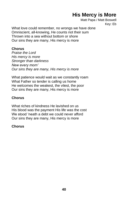## **His Mercy is More**

Matt Papa / Matt Boswell Key: Eb

What love could remember, no wrongs we have done Omniscient, all-knowing, He counts not their sum Thrown into a sea without bottom or shore Our sins they are many, His mercy is more

### **Chorus**

*Praise the Lord His mercy is more Stronger than darkness New every morn' Our sins they are many, His mercy is more*

What patience would wait as we constantly roam What Father so tender is calling us home He welcomes the weakest, the vilest, the poor Our sins they are many, His mercy is more

### **Chorus**

What riches of kindness He lavished on us His blood was the payment His life was the cost We stood 'neath a debt we could never afford Our sins they are many, His mercy is more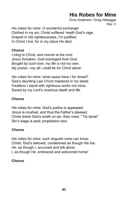## **His Robes for Mine**

Chris Anderson / Greg Habegger Key: C

His robes for mine: O wonderful exchange! Clothed in my sin, Christ suffered 'neath God's rage. Draped in His righteousness, I'm justified. In Christ I live, for in my place He died.

#### **Chorus**

*I cling to Christ, and marvel at the cost: Jesus forsaken, God estranged from God. Bought by such love, my life is not my own. My praise—my all—shall be for Christ alone.*

His robes for mine: what cause have I for dread? God's daunting Law Christ mastered in my stead. Faultless I stand with righteous works not mine, Saved by my Lord's vicarious death and life.

#### **Chorus**

His robes for mine: God's justice is appeased. Jesus is crushed, and thus the Father's pleased. Christ drank God's wrath on sin, then cried, "'Tis done!" Sin's wage is paid; propitiation won.

#### **Chorus**

His robes for mine: such anguish none can know. Christ, God's beloved, condemned as though His foe. He, as though I, accursed and left alone; I, as though He, embraced and welcomed home!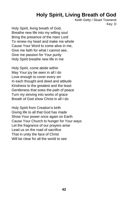## **Holy Spirit, Living Breath of God**

Keith Getty / Stuart Townend Key: D

Holy Spirit, living breath of God, Breathe new life into my willing soul Bring the presence of the risen Lord To renew my heart and make me whole Cause Your Word to come alive in me, Give me faith for what I cannot see, Give me passion for Your purity Holy Spirit breathe new life in me

Holy Spirit, come abide within May Your joy be seen in all I do Love enough to cover every sin In each thought and deed and attitude Kindness to the greatest and the least Gentleness that sows the path of peace Turn my striving into works of grace Breath of God show Christ in all I do

Holy Spirit from Creation's birth Giving life to all that God has made Show Your power once again on Earth Cause Your Church to hunger for Your ways Let the fragrance of our prayers arise Lead us on the road of sacrifice That in unity the face of Christ Will be clear for all the world to see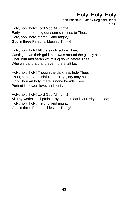# **Holy, Holy, Holy**

John Bacchus Dykes / Reginald Heber Key: C

Holy, holy, holy! Lord God Almighty! Early in the morning our song shall rise to Thee; Holy, holy, holy, merciful and mighty! God in three Persons, blessed Trinity!

Holy, holy, holy! All the saints adore Thee, Casting down their golden crowns around the glassy sea, Cherubim and seraphim falling down before Thee, Who wert and art, and evermore shalt be.

Holy, holy, holy! Though the darkness hide Thee, Though the eye of sinful man Thy glory may not see; Only Thou art holy; there is none beside Thee, Perfect in power, love, and purity.

Holy, holy, holy! Lord God Almighty! All Thy works shall praise Thy name in earth and sky and sea; Holy, holy, holy, merciful and mighty! God in three Persons, blessed Trinity!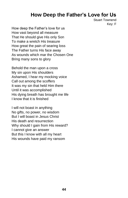## **How Deep the Father's Love for Us**

Stuart Townend Key: F

How deep the Father's love for us How vast beyond all measure That He should give His only Son To make a wretch His treasure How great the pain of searing loss The Father turns His face away As wounds which mar the Chosen One Bring many sons to glory

Behold the man upon a cross My sin upon His shoulders Ashamed, I hear my mocking voice Call out among the scoffers It was my sin that held Him there Until it was accomplished His dying breath has brought me life I know that it is finished

I will not boast in anything No gifts, no power, no wisdom But I will boast in Jesus Christ His death and resurrection Why should I gain from His reward? I cannot give an answer But this I know with all my heart His wounds have paid my ransom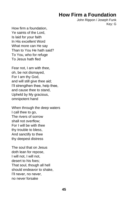## **How Firm a Foundation**

John Rippon / Joseph Funk Key: G

How firm a foundation, Ye saints of the Lord, Is laid for your faith In His excellent Word What more can He say Than to You He hath said? To You, who for refuge To Jesus hath fled

Fear not, I am with thee, oh, be not dismayed, For I am thy God, and will still give thee aid; I'll strengthen thee, help thee, and cause thee to stand, Upheld by My gracious, omnipotent hand

When through the deep waters I call thee to go. The rivers of sorrow shall not overflow; For I will be with thee thy trouble to bless, And sanctify to thee thy deepest distress

The soul that on Jesus doth lean for repose, I will not, I will not, desert to his foes; That soul, though all hell should endeavor to shake, I'll never, no never, no never forsake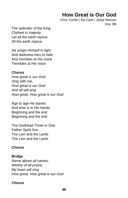## **How Great is Our God**

Chris Tomlin / Ed Cash / Jesse Reeves Key: Bb

The splendor of the King Clothed in majesty Let all the earth rejoice All the earth rejoice

He wraps Himself in light And darkness tries to hide And trembles at His voice Trembles at His voice

#### **Chorus**

*How great is our God Sing with me, How great is our God And all will sing How great, How great is our God*

Age to age He stands And time is in His hands Beginning and the end Beginning and the end

The Godhead Three in One Father Spirit Son The Lion and the Lamb The Lion and the Lamb

### **Chorus**

#### **Bridge**

*Name above all names, Worthy of all praise, My heart will sing How great, How great is our God*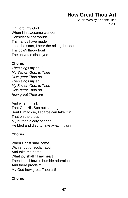## **How Great Thou Art**

Stuart Wesley / Keene Hine Key: D

Oh Lord, my God When I in awesome wonder Consider all the worlds Thy hands have made I see the stars, I hear the rolling thunder Thy pow'r throughout The universe displayed

#### **Chorus**

*Then sings my soul My Savior, God, to Thee How great Thou art Then sings my soul My Savior, God, to Thee How great Thou art How great Thou art!*

And when I think That God His Son not sparing Sent Him to die, I scarce can take it in That on the cross My burden gladly bearing, He bled and died to take away my sin

### **Chorus**

When Christ shall come With shout of acclamation And take me home What joy shall fill my heart Then I shall bow in humble adoration And there proclaim My God how great Thou art!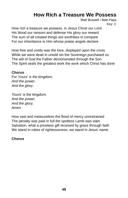## **How Rich a Treasure We Possess**

Matt Boswell / Matt Papa Key: C

How rich a treasure we possess, in Jesus Christ our Lord His blood our ransom and defense His glory our reward The sum of all created things are worthless in compare For our inheritance is Him whose praise angels declare

How free and costly was the love, displayed upon the cross While we were dead in untold sin the Sovereign purchased us The will of God the Father demonstrated through the Son The Spirit seals the greatest work the work which Christ has done

### **Chorus**

*For Yours' is the kingdom, And the power, And the glory,*

*Yours' is the kingdom, And the power, And the glory, Amen*

How vast and measureless the flood of mercy unrestrained The penalty was paid in full the spotless Lamb was slain Salvation, what a priceless gift received by grace through faith We stand in robes of righteousness, we stand in Jesus' name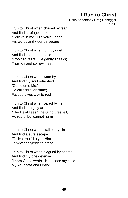# **I Run to Christ**

Chris Anderson / Greg Habegger Key: D

I run to Christ when chased by fear And find a refuge sure. "Believe in me," His voice I hear; His words and wounds secure

I run to Christ when torn by grief And find abundant peace. "I too had tears," He gently speaks; Thus joy and sorrow meet

I run to Christ when worn by life And find my soul refreshed. "Come unto Me," He calls through strife; Fatigue gives way to rest

I run to Christ when vexed by hell And find a mighty arm. "The Devil flees," the Scriptures tell; He roars, but cannot harm

I run to Christ when stalked by sin And find a sure escape. "Deliver me," I cry to Him; Temptation yields to grace

I run to Christ when plagued by shame And find my one defense. "I bore God's wrath," He pleads my case— My Advocate and Friend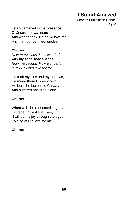# **I Stand Amazed**

Charles Hutchinson Gabriel Key: A

I stand amazed in the presence Of Jesus the Nazarene And wonder how He could love me A sinner, condemned, unclean

#### **Chorus**

*How marvellous, How wonderful And my song shall ever be How marvellous, How wonderful Is my Savior's love for me*

He took my sins and my sorrows, He made them His very own; He bore the burden to Calvary, And suffered and died alone

### **Chorus**

When with the ransomed in glory His face I at last shall see, 'Twill be my joy through the ages To sing of His love for me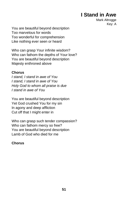# **I Stand in Awe**

Mark Altrogge Key: A

You are beautiful beyond description Too marvelous for words Too wonderful for comprehension Like nothing ever seen or heard

Who can grasp Your infinite wisdom? Who can fathom the depths of Your love? You are beautiful beyond description Majesty enthroned above

#### **Chorus**

*I stand, I stand in awe of You I stand, I stand in awe of You Holy God to whom all praise is due I stand in awe of You*

You are beautiful beyond description Yet God crushed You for my sin In agony and deep affliction Cut off that I might enter in

Who can grasp such tender compassion? Who can fathom mercy so free? You are beautiful beyond description Lamb of God who died for me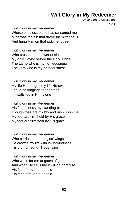# **I Will Glory in My Redeemer**

Steve Cook / Vikki Cook Key: C

I will glory in my Redeemer Whose priceless blood has ransomed me Mine was the sin that drove the bitter nails And hung Him on that judgment tree

I will glory in my Redeemer Who crushed the power of sin and death My only Savior before the Holy Judge The Lamb who is my righteousness The Lam who is my righteousness

I will glory in my Redeemer My life He bought, my life He owns I have no longings for another I'm satisfied in Him alone

I will glory in my Redeemer His faithfulness my standing place Though foes are mighty and rush upon me My feet are firm held by His grace My feet are firm held by His grace

I will glory in my Redeemer Who carries me on eagles' wings He crowns my life with lovingkindness His triumph song I'll ever sing

I will glory in my Redeemer Who waits for me at gates of gold And when He calls me it will be paradise His face forever to behold His face forever to behold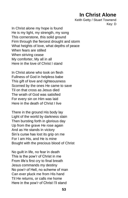# **In Christ Alone**

Keith Getty / Stuart Townend Key: D

In Christ alone my hope is found He is my light, my strength, my song This cornerstone, this solid ground Firm through the fiercest drought and storm What heights of love, what depths of peace When fears are stilled When striving cease My comforter, My all in all Here in the love of Christ I stand

In Christ alone who took on flesh Fullness of God in helpless babe This gift of love and righteousness Scorned by the ones He came to save Til on that cross as Jesus died The wrath of God was satisfied For every sin on Him was laid Here in the death of Christ I live

There in the ground His body lay Light of the world by darkness slain Then bursting forth in glorious day Up from the grave He rose again And as He stands in victory Sin's curse has lost its grip on me For I am His, and He is mine Bought with the precious blood of Christ

No guilt in life, no fear in death This is the pow'r of Christ in me From life's first cry to final breath Jesus commands my destiny No pow'r of Hell, no scheme of man Can ever pluck me from His hand Til He returns, or calls me home Here in the pow'r of Christ I'll stand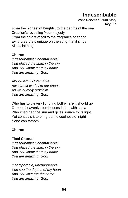## **Indescribable**

Jesse Reeves / Laura Story Key: Bb

From the highest of heights, to the depths of the sea Creation's revealing Your majesty From the colors of fall to the fragrance of spring Ev'ry creature's unique on the song that it sings All exclaiming

#### **Chorus**

*Indescribable! Uncontainable! You placed the stars in the sky And You know them by name You are amazing, God!*

*All-powerful! Untamable! Awestruck we fall to our knees As we humbly proclaim You are amazing, God!*

Who has told every lightning bolt where it should go Or seen heavenly storehouses laden with snow Who imagined the sun and gives source to its light Yet conceals it to bring us the coolness of night None can fathom

#### **Chorus**

#### **Final Chorus**

*Indescribable! Uncontainable! You placed the stars in the sky And You know them by name You are amazing, God!*

*Incomparable, unchangeable You see the depths of my heart And You love me the same You are amazing, God!*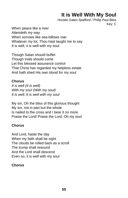# **It is Well With My Soul**

Horatio Gates Spafford / Philip Paul Bliss Key: C

When peace like a river Attendeth my way When sorrows like sea-billows roar Whatever my lot, Thou hast taught me to say It is well, it is well with my soul

Though Satan should buffet Though trials should come Let this blessed assurance control That Christ has regarded my helpless estate And hath shed His own blood for my soul

### **Chorus**

*It is well (It is well) With my soul (With my soul) It is well, It is well with my soul*

My sin, Oh the bliss of this glorious thought My sin, not in part but the whole Is nailed to the cross and I bear it no more Praise the Lord! Praise the Lord, Oh my soul

### **Chorus**

And Lord, haste the day When my faith shall be sight The clouds be rolled back as a scroll The trump shall resound And the Lord shall descend Even so, it is well with my soul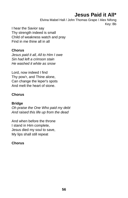## **Jesus Paid it All\***

Elvina Mabel Hall / John Thomas Grape / Alex Nifong Key: Bb

I hear the Savior say Thy strength indeed is small Child of weakness watch and pray Find in me thine all in all

#### **Chorus**

*Jesus paid it all, All to Him I owe Sin had left a crimson stain He washed it white as snow*

Lord, now indeed I find Thy pow'r, and Thine alone, Can change the leper's spots And melt the heart of stone.

### **Chorus**

#### **Bridge**

*Oh praise the One Who paid my debt And raised this life up from the dead*

And when before the throne I stand in Him complete, Jesus died my soul to save, My lips shall still repeat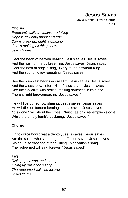## **Jesus Saves**

David Moffitt / Travis Cottrell Key: D

### **Chorus**

*Freedom's calling, chains are falling Hope is dawning bright and true Day is breaking, night is quaking God is making all things new Jesus Saves*

Hear the heart of heaven beating, Jesus saves, Jesus saves And the hush of mercy breathing, Jesus saves, Jesus saves Hear the host of angels sing, "Glory to the newborn King!" And the sounding joy repeating, "Jesus saves"

See the humblest hearts adore Him, Jesus saves, Jesus saves And the wisest bow before Him, Jesus saves, Jesus saves See the sky alive with praise, melting darkness in its blaze There is light forevermore in, "Jesus saves!"

He will live our sorrow sharing, Jesus saves, Jesus saves He will die our burden bearing, Jesus saves, Jesus saves "It is done," will shout the cross, Christ has paid redemption's cost While the empty tomb's declaring, "Jesus saves!"

#### **Chorus**

Oh to grace how great a debtor, Jesus saves, Jesus saves Are the saints who shout together, "Jesus saves, Jesus saves" Rising up so vast and strong, lifting up salvation's song The redeemed will sing forever, "Jesus saves!"

#### **Tag**

*Rising up so vast and strong Lifting up salvation's song The redeemed will sing forever Jesus saves*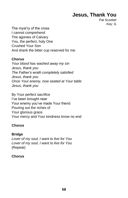## **Jesus, Thank You**

Pat Sczebel Key: G

The myst'ry of the cross I cannot comprehend The agonies of Calvary You, the perfect, holy One Crushed Your Son And drank the bitter cup reserved for me

### **Chorus**

*Your blood has washed away my sin Jesus, thank you The Father's wrath completely satisfied Jesus, thank you Once Your enemy, now seated at Your table Jesus, thank you*

By Your perfect sacrifice I've been brought near Your enemy you've made Your friend Pouring out the riches of Your glorious grace Your mercy and Your kindness know no end

### **Chorus**

#### **Bridge**

*Lover of my soul, I want to live for You Lover of my soul, I want to live for You* (Repeat)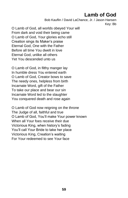## **Lamb of God**

Bob Kauflin / David LaChance, Jr. / Jason Hansen Key: Bb

O Lamb of God, all worlds obeyed Your will From dark and void their being came O Lamb of God, Your glories echo still Creation sings its Maker's praise Eternal God, One with the Father Before all time You dwelt in love Eternal God, unlike all others Yet You descended unto us

O Lamb of God, in filthy manger lay In humble dress You entered earth O Lamb of God, Creator bows to save The needy ones, helpless from birth Incarnate Word, gift of the Father To take our place and bear our sin Incarnate Word led to the slaughter You conquered death and rose again

O Lamb of God now reigning on the throne The Judge of all, faithful and true O Lamb of God, You'll make Your power known When all Your foes receive their due Victorious King, when history's fading You'll call Your Bride to take her place Victorious King, Creation's waiting For Your redeemed to see Your face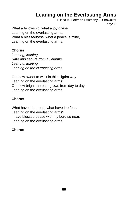## **Leaning on the Everlasting Arms**

Elisha A. Hoffman / Anthony J. Showalter Key: G

What a fellowship, what a joy divine, Leaning on the everlasting arms; What a blessedness, what a peace is mine, Leaning on the everlasting arms.

#### **Chorus**

*Leaning, leaning, Safe and secure from all alarms, Leaning, leaning, Leaning on the everlasting arms.*

Oh, how sweet to walk in this pilgrim way Leaning on the everlasting arms; Oh, how bright the path grows from day to day Leaning on the everlasting arms.

#### **Chorus**

What have I to dread, what have I to fear, Leaning on the everlasting arms? I have blessed peace with my Lord so near, Leaning on the everlasting arms.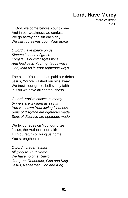## **Lord, Have Mercy**

Marc Willerton Key: C

O God, we come before Your throne And in our weakness we confess We go astray and sin each day We cast ourselves upon Your grace

*O Lord, have mercy on us Sinners in need of grace Forgive us our transgressions And lead us in Your righteous ways God, lead us in Your righteous ways*

The blood You shed has paid our debts Jesus, You've washed our sins away We trust Your grace, believe by faith In You we have all righteousness

*O Lord, You've shown us mercy Sinners are washed as saints You've shown Your loving-kindness Sons of disgrace are righteous made Sons of disgrace are righteous made*

We fix our eyes on You, our prize Jesus, the Author of our faith Till You return or bring us home You strengthen us to run the race

*O Lord, forever faithful All glory to Your Name! We have no other Savior Our great Redeemer, God and King Jesus, Redeemer, God and King*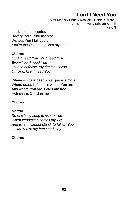## **Lord I Need You**

Matt Maher / Christy Nockels / Daniel Carson / Jesse Reeves / Kristian Stanfill Key: G

Lord, I come, I confess Bowing here I find my rest Without You I fall apart You're the One that guides my heart

#### **Chorus**

*Lord, I need You, oh, I need You Every hour I need You My one defense, my righteousness Oh God, how I need You*

Where sin runs deep Your grace is more Where grace is found is where You are And where You are, Lord I am free Holiness is Christ in me

#### **Chorus**

#### *Bridge*

*So teach my song to rise to You When temptation comes my way And when I cannot stand, I'll fall on You Jesus You're my hope and stay*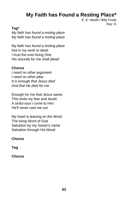# **My Faith has Found a Resting Place\***

E. E. Hewitt / Billy Foote Key: G

## **Tag\***

*My faith has found a resting place My faith has found a resting place*

My faith has found a resting place Not in my work or deed I trust the ever-living One His wounds for me shall plead

### **Chorus**

*I need no other argument I need no other plea It is enough that Jesus died And that He died for me*

Enough for me that Jesus saves This ends my fear and doubt A sinful soul I come to Him He'll never cast me out

My heart is leaning on the Word The living Word of God Salvation by my Savior's name Salvation through His blood

### **Chorus**

**Tag**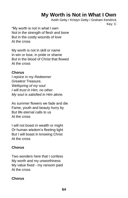# **My Worth is Not in What I Own**

Keith Getty / Kristyn Getty / Graham Kendrick Key: C

"My worth is not in what I own Not in the strength of flesh and bone But in the costly wounds of love At the cross

My worth is not in skill or name In win or lose, in pride or shame But in the blood of Christ that flowed At the cross

#### **Chorus**

*I rejoice in my Redeemer Greatest Treasure, Wellspring of my soul I will trust in Him, no other. My soul is satisfied in Him alone.*

As summer flowers we fade and die Fame, youth and beauty hurry by But life eternal calls to us At the cross

I will not boast in wealth or might Or human wisdom's fleeting light But I will boast in knowing Christ At the cross

### **Chorus**

Two wonders here that I confess My worth and my unworthiness My value fixed - my ransom paid At the cross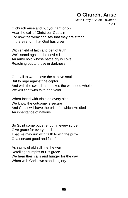# **O Church, Arise**

Keith Getty / Stuart Townend Key: C

O church arise and put your armor on Hear the call of Christ our Captain For now the weak can say that they are strong In the strength that God has given

With shield of faith and belt of truth We'll stand against the devil's lies An army bold whose battle cry is Love Reaching out to those in darkness

Our call to war to love the captive soul But to rage against the captor And with the sword that makes the wounded whole We will fight with faith and valor

When faced with trials on every side We know the outcome is secure And Christ will have the prize for which He died An inheritance of nations

So Spirit come put strength in every stride Give grace for every hurdle That we may run with faith to win the prize Of a servant good and faithful

As saints of old still line the way Retelling triumphs of His grace We hear their calls and hunger for the day When with Christ we stand in glory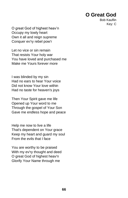## **O Great God**

Bob Kauflin Key: C

O great God of highest heav'n Occupy my lowly heart Own it all and reign supreme Conquer ev'ry rebel pow'r

Let no vice or sin remain That resists Your holy war You have loved and purchased me Make me Yours forever more

I was blinded by my sin Had no ears to hear Your voice Did not know Your love within Had no taste for heaven's joys

Then Your Spirit gave me life Opened up Your word to me Through the gospel of Your Son Gave me endless hope and peace

Help me now to live a life That's dependent on Your grace Keep my heart and guard my soul From the evils that I face

You are worthy to be praised With my ev'ry thought and deed O great God of highest heav'n Glorify Your Name through me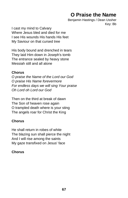## **O Praise the Name**

Benjamin Hastings / Dean Ussher Key: Bb

I cast my mind to Calvary Where Jesus bled and died for me I see His wounds His hands His feet My Saviour on that cursed tree

His body bound and drenched in tears They laid Him down in Joseph's tomb The entrance sealed by heavy stone Messiah still and all alone

### **Chorus**

*O praise the Name of the Lord our God O praise His Name forevermore For endless days we will sing Your praise Oh Lord oh Lord our God*

Then on the third at break of dawn The Son of heaven rose again O trampled death where is your sting The angels roar for Christ the King

### **Chorus**

He shall return in robes of white The blazing sun shall pierce the night And I will rise among the saints My gaze transfixed on Jesus' face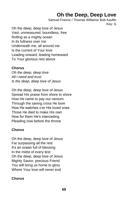## **Oh the Deep, Deep Love**

Samuel Francis / Thomas Williams/ Bob Kauflin Key: G

Oh the deep, deep love of Jesus Vast, unmeasured, boundless, free Rolling as a mighty ocean In its fullness over me Underneath me, all around me Is the current of Your love Leading onward, leading homeward To Your glorious rest above

#### **Chorus**

*Oh the deep, deep love All I need and trust Is the deep, deep love of Jesus*

Oh the deep, deep love of Jesus Spread His praise from shore to shore How He came to pay our ransom Through the saving cross He bore How He watches o'er His loved ones Those He died to make His own How for them He's interceding Pleading now before the throne

#### **Chorus**

Oh the deep, deep love of Jesus Far surpassing all the rest It's an ocean full of blessing In the midst of every test Oh the deep, deep love of Jesus Mighty Savior, precious Friend You will bring us home to glory Where Your love will never end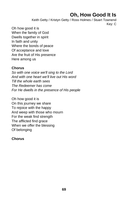## **Oh, How Good It Is**

Keith Getty / Kristyn Getty / Ross Holmes / Stuart Townend Key: C

Oh how good it is When the family of God Dwells together in spirit In faith and unity Where the bonds of peace Of acceptance and love Are the fruit of His presence Here among us

#### **Chorus**

*So with one voice we'll sing to the Lord And with one heart we'll live out His word Till the whole earth sees The Redeemer has come For He dwells in the presence of His people*

Oh how good it is On this journey we share To rejoice with the happy And weep with those who mourn For the weak find strength The afflicted find grace When we offer the blessing Of belonging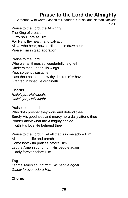## **Praise to the Lord the Almighty**

Catherine Winkworth / Joachim Neander / Christy and Nathan Nockels Key: C

Praise to the Lord, the Almighty The King of creation O my soul, praise Him For He is thy health and salvation All ye who hear, now to His temple draw near Praise Him in glad adoration

Praise to the Lord Who o'er all things so wonderfully reigneth Shelters thee under His wings Yea, so gently sustaineth Hast thou not seen how thy desires e'er have been Granted in what He ordaineth

### **Chorus**

*Hallelujah, Hallelujah, Hallelujah, Hallelujah!*

Praise to the Lord Who doth prosper they work and defend thee Surely His goodness and mercy here daily attend thee Ponder anew what the Almighty can do If with His love He befriend thee

Praise to the Lord, O let all that is in me adore Him All that hath life and breath Come now with praises before Him Let the Amen sound from His people again Gladly forever adore Him

#### **Tag**

*Let the Amen sound from His people again Gladly forever adore Him*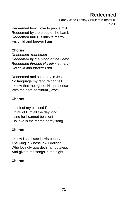## **Redeemed**

Fanny Jane Crosby / William Kirkpatrick Key: C

Redeemed how I love to proclaim it Redeemed by the blood of the Lamb Redeemed thru His infinite mercy His child and forever I am

#### **Chorus**

*Redeemed, redeemed Redeemed by the blood of the Lamb Redeemed through His infinite mercy His child and forever I am*

Redeemed and so happy in Jesus No language my rapture can tell I know that the light of His presence With me doth continually dwell

### **Chorus**

I think of my blessed Redeemer I think of Him all the day long I sing for I cannot be silent His love is the theme of my song

### **Chorus**

I know I shall see in His beauty The King in whose law I delight Who lovingly guardeth my footsteps And giveth me songs in the night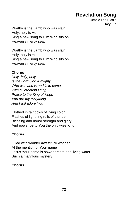# **Revelation Song**

Jennie Lee Riddle Key: Bb

Worthy is the Lamb who was slain Holy, holy is He Sing a new song to Him Who sits on Heaven's mercy seat

Worthy is the Lamb who was slain Holy, holy is He Sing a new song to Him Who sits on Heaven's mercy seat

#### **Chorus**

*Holy, holy, holy Is the Lord God Almighty Who was and is and is to come With all creation I sing Praise to the King of kings You are my ev'rything And I will adore You*

Clothed in rainbows of living color Flashes of lightning rolls of thunder Blessing and honor strength and glory And power be to You the only wise King

#### **Chorus**

Filled with wonder awestruck wonder At the mention of Your name Jesus Your name is power breath and living water Such a marv'lous mystery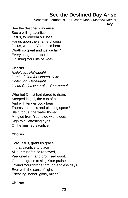### **See the Destined Day Arise**

Venantius Fortunatus / tr. Richard Mant / Matthew Merker Key: F

See the destined day arise! See a willing sacrifice! Jesus, to redeem our loss, Hangs upon the shameful cross; Jesus, who but You could bear Wrath so great and justice fair? Every pang and bitter throe, Finishing Your life of woe?

### **Chorus**

*Hallelujah! Hallelujah! Lamb of God for sinners slain! Hallelujah! Hallelujah! Jesus Christ, we praise Your name!*

Who but Christ had dared to drain, Steeped in gall, the cup of pain And with tender body bear Thorns and nails and piercing spear? Slain for us, the water flowed, Mingled from Your side with blood; Sign to all attesting eyes Of the finished sacrifice.

### **Chorus**

Holy Jesus, grant us grace In that sacrifice to place All our trust for life renewed, Pardoned sin, and promised good. Grant us grace to sing Your praise 'Round Your throne through endless days, Ever with the sons of light: "Blessing, honor, glory, might!"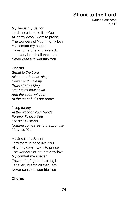# **Shout to the Lord**

Darlene Zschech Key: C

My Jesus my Savior Lord there is none like You All of my days I want to praise The wonders of Your mighty love My comfort my shelter Tower of refuge and strength Let every breath all that I am Never cease to worship You

#### **Chorus**

*Shout to the Lord All the earth let us sing Power and majesty Praise to the King Mountains bow down And the seas will roar At the sound of Your name*

*I sing for joy At the work of Your hands Forever I'll love You Forever I'll stand Nothing compares to the promise I have in You*

My Jesus my Savior Lord there is none like You All of my days I want to praise The wonders of Your mighty love My comfort my shelter Tower of refuge and strength Let every breath all that I am Never cease to worship You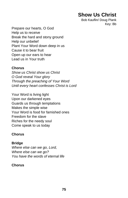# **Show Us Christ**

Bob Kauflin/ Doug Plank Key: Bb

Prepare our hearts, O God Help us to receive Break the hard and stony ground Help our unbelief Plant Your Word down deep in us Cause it to bear fruit Open up our ears to hear Lead us in Your truth

### **Chorus**

*Show us Christ show us Christ O God reveal Your glory Through the preaching of Your Word Until every heart confesses Christ is Lord*

Your Word is living light Upon our darkened eyes Guards us through temptations Makes the simple wise Your Word is food for famished ones Freedom for the slave Riches for the needy soul Come speak to us today

### **Chorus**

#### **Bridge**

*Where else can we go, Lord, Where else can we go? You have the words of eternal life*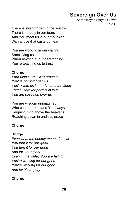# **Sovereign Over Us**

Aaron Keyes / Bryan Brown Key: C

There is strength within the sorrow There is beauty in our tears And You meet us in our mourning With a love that casts out fear

You are working in our waiting Sanctifying us When beyond our understanding You're teaching us to trust

### **Chorus**

*Your plans are still to prosper You've not forgotten us You're with us in the fire and the flood Faithful forever perfect in love You are sov'reign over us*

You are wisdom unimagined Who could understand Your ways Reigning high above the heavens Reaching down in endless grace

### **Chorus**

### **Bridge**

*Even what the enemy means for evil You turn it for our good You turn it for our good And for Your glory Even in the valley You are faithful You're working for our good You're working for our good And for Your glory*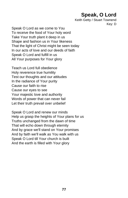# **Speak, O Lord**

Keith Getty / Stuart Townend Key: D

Speak O Lord as we come to You To receive the food of Your holy word Take Your truth plant it deep in us Shape and fashion us in Your likeness That the light of Christ might be seen today In our acts of love and our deeds of faith Speak O Lord and fulfill in us All Your purposes for Your glory

Teach us Lord full obedience Holy reverence true humility Test our thoughts and our attitudes In the radiance of Your purity Cause our faith to rise Cause our eyes to see Your majestic love and authority Words of power that can never fail Let their truth prevail over unbelief

Speak O Lord and renew our minds Help us grasp the heights of Your plans for us Truths unchanged from the dawn of time That will echo down through eternity And by grace we'll stand on Your promises And by faith we'll walk as You walk with us Speak O Lord till Your church is built And the earth is filled with Your glory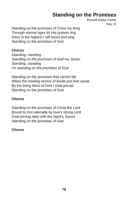# **Standing on the Promises**

Russell Kelso Carter Key: G

Standing on the promises of Christ my King Through eternal ages let His praises ring Glory in the highest I will shout and sing Standing on the promises of God

### **Chorus**

*Standing, standing Standing on the promises of God my Savior Standing, standing I'm standing on the promises of God*

Standing on the promises that cannot fail When the howling storms of doubt and fear assail By the living Word of God I shall prevail Standing on the promises of God

### **Chorus**

Standing on the promises of Christ the Lord Bound to Him eternally by love's strong cord Overcoming daily with the Spirit's Sword Standing on the promises of God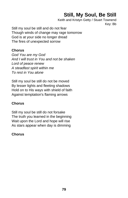# **Still, My Soul, Be Still**

Keith and Kristyn Getty / Stuart Townend Key: Bb

Still my soul be still and do not fear Though winds of change may rage tomorrow God is at your side no longer dread The fires of unexpected sorrow

### **Chorus**

*God You are my God And I will trust in You and not be shaken Lord of peace renew A steadfast spirit within me To rest in You alone*

Still my soul be still do not be moved By lesser lights and fleeting shadows Hold on to His ways with shield of faith Against temptation's flaming arrows

### **Chorus**

Still my soul be still do not forsake The truth you learned in the beginning Wait upon the Lord and hope will rise As stars appear when day is dimming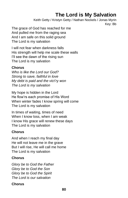# **The Lord is My Salvation**

Keith Getty / Kristyn Getty / Nathan Nockels / Jonas Myrin Key: Bb

The grace of God has reached for me And pulled me from the raging sea And I am safe on this solid ground The Lord is my salvation

I will not fear when darkness falls His strength will help me scale these walls I'll see the dawn of the rising sun The Lord is my salvation

### **Chorus**

*Who is like the Lord our God? Strong to save, faithful in love My debt is paid and the vict'ry won The Lord is my salvation*

My hope is hidden in the Lord He flow'rs each promise of His Word When winter fades I know spring will come The Lord is my salvation

In times of waiting, times of need When I know loss, when I am weak I know His grace will renew these days The Lord is my salvation

### **Chorus**

And when I reach my final day He will not leave me in the grave But I will rise, He will call me home The Lord is my salvation

### **Chorus**

*Glory be to God the Father Glory be to God the Son Glory be to God the Spirit The Lord is our salvation*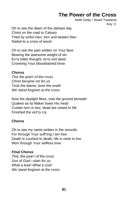# **The Power of the Cross**

Keith Getty / Stuart Townend Key: C

Oh to see the dawn of the darkest day Christ on the road to Calvary Tried by sinful men, torn and beaten then Nailed to a cross of wood

Oh to see the pain written on Your face Bearing the awesome weight of sin Ev'ry bitter thought, ev'ry evil deed Crowning Your bloodstained brow

#### **Chorus**

*This the pow'r of the cross Christ became sin for us Took the blame, bore the wrath We stand forgiven at the cross*

Now the daylight flees, now the ground beneath Quakes as its Maker bows His head Curtain torn in two, dead are raised to life Finished the vict'ry cry

### **Chorus**

Oh to see my name written in the wounds For through Your suff'ring I am free Death is crushed to death, life is mine to live Won through Your selfless love

### *Final Chorus*

*This, the pow'r of the cross Son of God—slain for us. What a love! What a cost! We stand forgiven at the cross*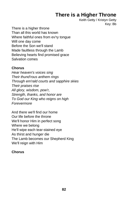# **There is a Higher Throne**

Keith Getty / Kristyn Getty Key: Bb

There is a higher throne Than all this world has known Where faithful ones from ev'ry tongue Will one day come Before the Son we'll stand Made faultless through the Lamb Believing hearts find promised grace Salvation comes

#### **Chorus**

*Hear heaven's voices sing Their thund'rous anthem rings Through em'rald courts and sapphire skies Their praises rise All glory, wisdom, pow'r, Strength, thanks, and honor are To God our King who reigns on high Forevermore*

And there we'll find our home Our life before the throne We'll honor Him in perfect song Where we belong He'll wipe each tear-stained eye As thirst and hunger die The Lamb becomes our Shepherd King We'll reign with Him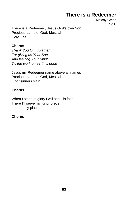### **There is a Redeemer**

Melody Green Key: C

There is a Redeemer, Jesus God's own Son Precious Lamb of God, Messiah, Holy One

### **Chorus**

*Thank You O my Father For giving us Your Son And leaving Your Spirit Till the work on earth is done*

Jesus my Redeemer name above all names Precious Lamb of God, Messiah, O for sinners slain

### **Chorus**

When I stand in glory I will see His face There I'll serve my King forever In that holy place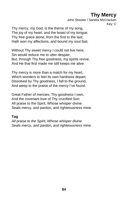# **Thy Mercy**

John Stocker / Sandra McCracken Key: C

Thy mercy, my God, is the theme of my song, The joy of my heart, and the boast of my tongue; Thy free grace alone, from the first to the last, Hath won my affections, and bound my soul fast.

Without Thy sweet mercy I could not live here; Sin would reduce me to utter despair; But, through Thy free goodness, my spirits revive, And He that first made me still keeps me alive.

Thy mercy is more than a match for my heart, Which wonders to feel its own hardness depart; Dissolved by Thy goodness, I fall to the ground, And weep to the praise of the mercy I've found.

Great Father of mercies, Thy goodness I own, And the covenant love of Thy crucified Son; All praise to the Spirit, Whose whisper divine Seals mercy, and pardon, and righteousness mine.

### **Tag**

*All praise to the Spirit, Whose whisper divine Seals mercy, and pardon, and righteousness mine.*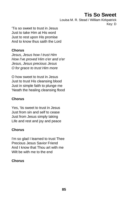# **Tis So Sweet**

Louisa M. R. Stead / William Kirkpatrick Key: D

'Tis so sweet to trust in Jesus Just to take Him at His word Just to rest upon His promise And to know thus saith the Lord

### **Chorus**

*Jesus, Jesus how I trust Him How I've proved Him o'er and o'er Jesus, Jesus precious Jesus O for grace to trust Him more*

O how sweet to trust in Jesus Just to trust His cleansing blood Just in simple faith to plunge me 'Neath the healing cleansing flood

### **Chorus**

Yes, 'tis sweet to trust in Jesus Just from sin and self to cease Just from Jesus simply taking Life and rest and joy and peace

### **Chorus**

I'm so glad I learned to trust Thee Precious Jesus Savior Friend And I know that Thou art with me Wilt be with me to the end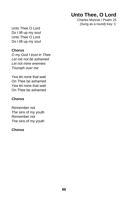# **Unto Thee, O Lord**

Charles Monroe / Psalm 25 (Sung as a round) Key: C

Unto Thee O Lord Do I lift up my soul Unto Thee O Lord Do I lift up my soul

### **Chorus**

*O my God I trust in Thee Let me not be ashamed Let not mine enemies Triumph over me*

Yea let none that wait On Thee be ashamed Yea let none that wait On Thee be ashamed

### **Chorus**

Remember not The sins of my youth Remember not The sins of my youth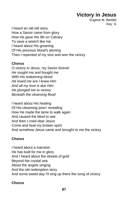# **Victory in Jesus**

Eugene M. Bartlett Key: G

I heard an old old story How a Savior came from glory How He gave His life on Calvary To save a wretch like me I heard about His groaning Of His precious blood's atoning Then I repented of my sins and won the victory

### **Chorus**

*O victory in Jesus, my Savior forever He sought me and bought me With His redeeming blood He loved me ere I knew Him And all my love is due Him He plunged me to victory Beneath the cleansing flood*

I heard about His healing Of His cleansing pow'r revealing How He made the lame to walk again And caused the blind to see And then I cried dear Jesus Come and heal my broken spirit And somehow Jesus came and brought to me the victory

### **Chorus**

I heard about a mansion He has built for me in glory And I heard about the streets of gold Beyond the crystal sea About the angels singing And the old redemption story And some sweet day I'll sing up there the song of victory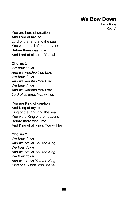### **We Bow Down**

Twila Paris Key: A

You are Lord of creation And Lord of my life Lord of the land and the sea You were Lord of the heavens Before there was time And Lord of all lords You will be

#### **Chorus 1**

*We bow down And we worship You Lord We bow down And we worship You Lord We bow down And we worship You Lord Lord of all lords You will be*

You are King of creation And King of my life King of the land and the sea You were King of the heavens Before there was time And King of all kings You will be

### **Chorus 2**

*We bow down And we crown You the King We bow down And we crown You the King We bow down And we crown You the King King of all kings You will be*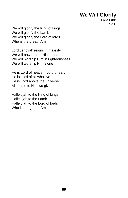### **We Will Glorify**

Twila Paris Key: C

We will glorify the King of kings We will glorify the Lamb We will glorify the Lord of lords Who is the great I Am

Lord Jehovah reigns in majesty We will bow before His throne We will worship Him in righteousness We will worship Him alone

He is Lord of heaven, Lord of earth He is Lord of all who live He is Lord above the universe All praise to Him we give

Hallelujah to the King of kings Hallelujah to the Lamb Hallelujah to the Lord of lords Who is the great I Am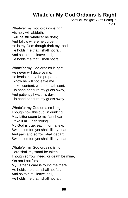## **Whate'er My God Ordains Is Right**

Samuel Rodigast / Jeff Bourque Key: C

Whate'er my God ordains is right: His holy will abideth; I will be still whate'er he doth; And follow where he guideth. He is my God: though dark my road. He holds me that I shall not fall. And so to him I leave it all, He holds me that I shall not fall.

Whate'er my God ordains is right: He never will deceive me. He leads me by the proper path; I know he will not leave me. I take, content, what he hath sent. His hand can turn my griefs away, And patiently I wait his day, His hand can turn my griefs away.

Whate'er my God ordains is right, Though now this cup, in drinking, May bitter seem to my faint heart, I take it all, unshrinking. My God is true; each morn anew. Sweet comfort yet shall fill my heart, And pain and sorrow shall depart, Sweet comfort yet shall fill my heart.

Whate'er my God ordains is right. Here shall my stand be taken. Though sorrow, need, or death be mine, Yet am I not forsaken. My Father's care is round me there. He holds me that I shall not fall, And so to him I leave it all, He holds me that I shall not fall.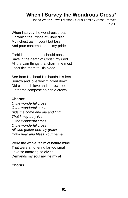### **When I Survey the Wondrous Cross\***

Isaac Watts / Lowell Mason / Chris Tomlin / Jesse Reeves Key: C

When I survey the wondrous cross On which the Prince of Glory died My richest gain I count but loss And pour contempt on all my pride

Forbid it, Lord, that I should boast Save in the death of Christ, my God All the vain things that charm me most I sacrifice them to His blood

See from His head His hands His feet Sorrow and love flow mingled down Did e'er such love and sorrow meet Or thorns compose so rich a crown

#### **Chorus**\*

*O the wonderful cross O the wonderful cross Bids me come and die and find That I may truly live O the wonderful cross O the wonderful cross All who gather here by grace Draw near and bless Your name*

Were the whole realm of nature mine That were an offering far too small Love so amazing so divine Demands my soul my life my all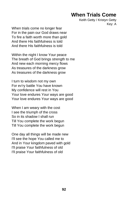### **When Trials Come**

Keith Getty / Kristyn Getty Key: A

When trials come no longer fear For in the pain our God draws near To fire a faith worth more than gold And there His faithfulness is told And there His faithfulness is told

Within the night I know Your peace The breath of God brings strength to me And new each morning mercy flows As treasures of the darkness grow As treasures of the darkness grow

I turn to wisdom not my own For ev'ry battle You have known My confidence will rest in You Your love endures Your ways are good Your love endures Your ways are good

When I am weary with the cost I see the triumph of the cross So in its shadow I shall run Till You complete the work begun Till You complete the work begun

One day all things will be made new I'll see the hope You called me to And in Your kingdom paved with gold I'll praise Your faithfulness of old I'll praise Your faithfulness of old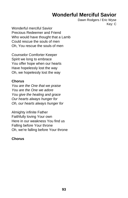# **Wonderful Merciful Savior**

Dawn Rodgers / Eric Wyse Key: C

Wonderful merciful Savior Precious Redeemer and Friend Who would have thought that a Lamb Could rescue the souls of men Oh, You rescue the souls of men

Counselor Comforter Keeper Spirit we long to embrace You offer hope when our hearts Have hopelessly lost the way Oh, we hopelessly lost the way

### **Chorus**

*You are the One that we praise You are the One we adore You give the healing and grace Our hearts always hunger for Oh, our hearts always hunger for*

Almighty infinite Father Faithfully loving Your own Here in our weakness You find us Falling before Your throne Oh, we're falling before Your throne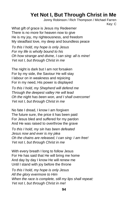# **Yet Not I, But Through Christ in Me**

Jonny Robinson / Rich Thompson / Michael Farren Key: C

What gift of grace is Jesus my Redeemer There is no more for heaven now to give He is my joy, my righteousness, and freedom My steadfast love, my deep and boundless peace

*To this I hold, my hope is only Jesus For my life is wholly bound to his Oh how strange and divine, I can sing: all is mine! Yet not I, but through Christ in me*

The night is dark but I am not forsaken For by my side, the Saviour He will stay I labour on in weakness and rejoicing For in my need, His power is displayed

*To this I hold, my Shepherd will defend me Through the deepest valley He will lead Oh the night has been won, and I shall overcome! Yet not I, but through Christ in me*

No fate I dread, I know I am forgiven The future sure, the price it has been paid For Jesus bled and suffered for my pardon And He was raised to overthrow the grave

*To this I hold, my sin has been defeated Jesus now and ever is my plea Oh the chains are released, I can sing: I am free! Yet not I, but through Christ in me*

With every breath I long to follow Jesus For He has said that He will bring me home And day by day I know He will renew me Until I stand with joy before the throne

*To this I hold, my hope is only Jesus All the glory evermore to Him When the race is complete, still my lips shall repeat: Yet not I, but through Christ in me!*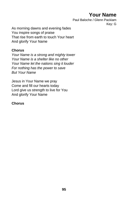# **Your Name**

Paul Baloche / Glenn Packiam Key: G

As morning dawns and evening fades You inspire songs of praise That rise from earth to touch Your heart And glorify Your Name

### **Chorus**

*Your Name is a strong and mighty tower Your Name is a shelter like no other Your Name let the nations sing it louder For nothing has the power to save But Your Name*

Jesus in Your Name we pray Come and fill our hearts today Lord give us strength to live for You And glorify Your Name